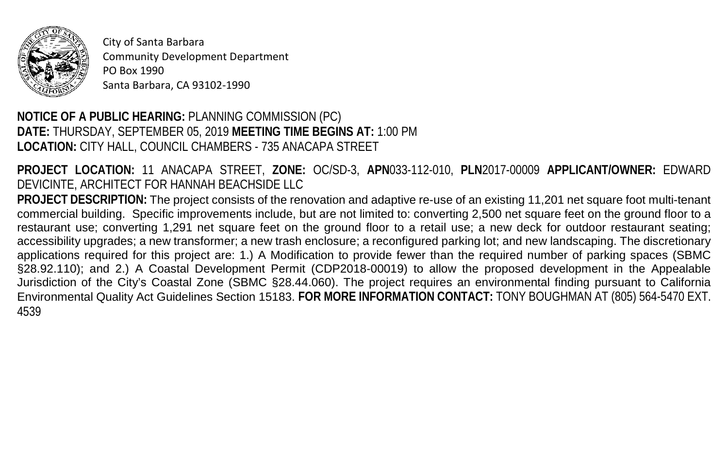

City of Santa Barbara Community Development Department PO Box 1990 Santa Barbara, CA 93102-1990

## **NOTICE OF A PUBLIC HEARING:** PLANNING COMMISSION (PC) **DATE:** THURSDAY, SEPTEMBER 05, 2019 **MEETING TIME BEGINS AT:** 1:00 PM **LOCATION:** CITY HALL, COUNCIL CHAMBERS - 735 ANACAPA STREET

**PROJECT LOCATION:** 11 ANACAPA STREET, **ZONE:** OC/SD-3, **APN**033-112-010, **PLN**2017-00009 **APPLICANT/OWNER:** EDWARD DEVICINTE, ARCHITECT FOR HANNAH BEACHSIDE LLC

**PROJECT DESCRIPTION:** The project consists of the renovation and adaptive re-use of an existing 11,201 net square foot multi-tenant commercial building. Specific improvements include, but are not limited to: converting 2,500 net square feet on the ground floor to a restaurant use; converting 1,291 net square feet on the ground floor to a retail use; a new deck for outdoor restaurant seating; accessibility upgrades; a new transformer; a new trash enclosure; a reconfigured parking lot; and new landscaping. The discretionary applications required for this project are: 1.) A Modification to provide fewer than the required number of parking spaces (SBMC §28.92.110); and 2.) A Coastal Development Permit (CDP2018-00019) to allow the proposed development in the Appealable Jurisdiction of the City's Coastal Zone (SBMC §28.44.060). The project requires an environmental finding pursuant to California Environmental Quality Act Guidelines Section 15183. **FOR MORE INFORMATION CONTACT:** TONY BOUGHMAN AT (805) 564-5470 EXT. 4539